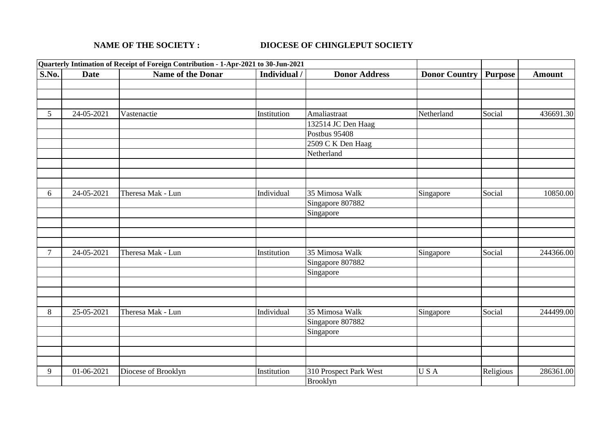## **NAME OF THE SOCIETY : DIOCESE OF CHINGLEPUT SOCIETY**

|                |             | Quarterly Intimation of Receipt of Foreign Contribution - 1-Apr-2021 to 30-Jun-2021 |              |                        |                      |                |               |
|----------------|-------------|-------------------------------------------------------------------------------------|--------------|------------------------|----------------------|----------------|---------------|
| S.No.          | <b>Date</b> | <b>Name of the Donar</b>                                                            | Individual / | <b>Donor Address</b>   | <b>Donor Country</b> | <b>Purpose</b> | <b>Amount</b> |
|                |             |                                                                                     |              |                        |                      |                |               |
|                |             |                                                                                     |              |                        |                      |                |               |
|                |             |                                                                                     |              |                        |                      |                |               |
| 5 <sup>5</sup> | 24-05-2021  | Vastenactie                                                                         | Institution  | Amaliastraat           | Netherland           | Social         | 436691.30     |
|                |             |                                                                                     |              | 132514 JC Den Haag     |                      |                |               |
|                |             |                                                                                     |              | Postbus 95408          |                      |                |               |
|                |             |                                                                                     |              | 2509 C K Den Haag      |                      |                |               |
|                |             |                                                                                     |              | Netherland             |                      |                |               |
|                |             |                                                                                     |              |                        |                      |                |               |
|                |             |                                                                                     |              |                        |                      |                |               |
|                |             |                                                                                     |              |                        |                      |                |               |
| 6              | 24-05-2021  | Theresa Mak - Lun                                                                   | Individual   | 35 Mimosa Walk         | Singapore            | Social         | 10850.00      |
|                |             |                                                                                     |              | Singapore 807882       |                      |                |               |
|                |             |                                                                                     |              | Singapore              |                      |                |               |
|                |             |                                                                                     |              |                        |                      |                |               |
|                |             |                                                                                     |              |                        |                      |                |               |
|                |             |                                                                                     |              |                        |                      |                |               |
| 7              | 24-05-2021  | Theresa Mak - Lun                                                                   | Institution  | 35 Mimosa Walk         | Singapore            | Social         | 244366.00     |
|                |             |                                                                                     |              | Singapore 807882       |                      |                |               |
|                |             |                                                                                     |              | Singapore              |                      |                |               |
|                |             |                                                                                     |              |                        |                      |                |               |
|                |             |                                                                                     |              |                        |                      |                |               |
|                |             |                                                                                     |              |                        |                      |                |               |
| 8              | 25-05-2021  | Theresa Mak - Lun                                                                   | Individual   | 35 Mimosa Walk         | Singapore            | Social         | 244499.00     |
|                |             |                                                                                     |              | Singapore 807882       |                      |                |               |
|                |             |                                                                                     |              | Singapore              |                      |                |               |
|                |             |                                                                                     |              |                        |                      |                |               |
|                |             |                                                                                     |              |                        |                      |                |               |
|                |             |                                                                                     |              |                        |                      |                |               |
| 9              | 01-06-2021  | Diocese of Brooklyn                                                                 | Institution  | 310 Prospect Park West | USA                  | Religious      | 286361.00     |
|                |             |                                                                                     |              | Brooklyn               |                      |                |               |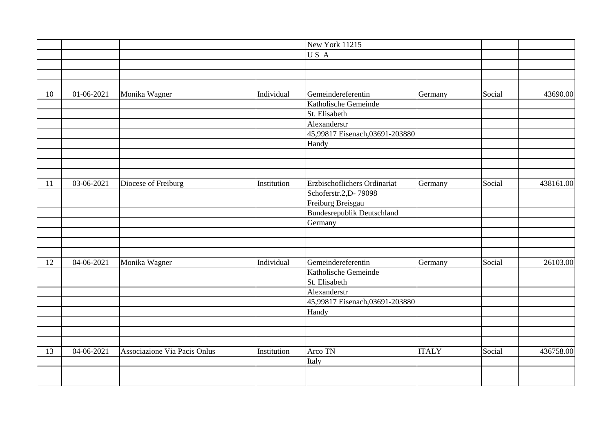|    |            |                              |             | New York 11215                    |              |        |           |
|----|------------|------------------------------|-------------|-----------------------------------|--------------|--------|-----------|
|    |            |                              |             | USA                               |              |        |           |
|    |            |                              |             |                                   |              |        |           |
|    |            |                              |             |                                   |              |        |           |
|    |            |                              |             |                                   |              |        |           |
| 10 | 01-06-2021 | Monika Wagner                | Individual  | Gemeindereferentin                | Germany      | Social | 43690.00  |
|    |            |                              |             | Katholische Gemeinde              |              |        |           |
|    |            |                              |             | St. Elisabeth                     |              |        |           |
|    |            |                              |             | Alexanderstr                      |              |        |           |
|    |            |                              |             | 45,99817 Eisenach,03691-203880    |              |        |           |
|    |            |                              |             | Handy                             |              |        |           |
|    |            |                              |             |                                   |              |        |           |
|    |            |                              |             |                                   |              |        |           |
|    |            |                              |             |                                   |              |        |           |
| 11 | 03-06-2021 | Diocese of Freiburg          | Institution | Erzbischoflichers Ordinariat      | Germany      | Social | 438161.00 |
|    |            |                              |             | Schoferstr.2, D-79098             |              |        |           |
|    |            |                              |             | Freiburg Breisgau                 |              |        |           |
|    |            |                              |             | <b>Bundesrepublik Deutschland</b> |              |        |           |
|    |            |                              |             | Germany                           |              |        |           |
|    |            |                              |             |                                   |              |        |           |
|    |            |                              |             |                                   |              |        |           |
|    |            |                              |             |                                   |              |        |           |
| 12 | 04-06-2021 | Monika Wagner                | Individual  | Gemeindereferentin                | Germany      | Social | 26103.00  |
|    |            |                              |             | Katholische Gemeinde              |              |        |           |
|    |            |                              |             | St. Elisabeth                     |              |        |           |
|    |            |                              |             | Alexanderstr                      |              |        |           |
|    |            |                              |             | 45,99817 Eisenach,03691-203880    |              |        |           |
|    |            |                              |             | Handy                             |              |        |           |
|    |            |                              |             |                                   |              |        |           |
|    |            |                              |             |                                   |              |        |           |
|    |            |                              |             |                                   |              |        |           |
| 13 | 04-06-2021 | Associazione Via Pacis Onlus | Institution | Arco TN                           | <b>ITALY</b> | Social | 436758.00 |
|    |            |                              |             | Italy                             |              |        |           |
|    |            |                              |             |                                   |              |        |           |
|    |            |                              |             |                                   |              |        |           |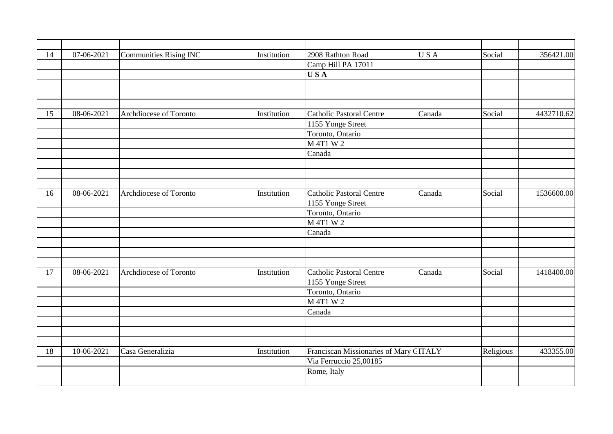| 14 | 07-06-2021   | <b>Communities Rising INC</b> | Institution | 2908 Rathton Road                      | USA    | Social    | 356421.00  |
|----|--------------|-------------------------------|-------------|----------------------------------------|--------|-----------|------------|
|    |              |                               |             | Camp Hill PA 17011                     |        |           |            |
|    |              |                               |             | <b>USA</b>                             |        |           |            |
|    |              |                               |             |                                        |        |           |            |
|    |              |                               |             |                                        |        |           |            |
|    |              |                               |             |                                        |        |           |            |
| 15 | 08-06-2021   | Archdiocese of Toronto        | Institution | <b>Catholic Pastoral Centre</b>        | Canada | Social    | 4432710.62 |
|    |              |                               |             | 1155 Yonge Street                      |        |           |            |
|    |              |                               |             | Toronto, Ontario                       |        |           |            |
|    |              |                               |             | M 4T1 W 2                              |        |           |            |
|    |              |                               |             | Canada                                 |        |           |            |
|    |              |                               |             |                                        |        |           |            |
|    |              |                               |             |                                        |        |           |            |
|    |              |                               |             |                                        |        |           |            |
| 16 | 08-06-2021   | Archdiocese of Toronto        | Institution | <b>Catholic Pastoral Centre</b>        | Canada | Social    | 1536600.00 |
|    |              |                               |             | 1155 Yonge Street                      |        |           |            |
|    |              |                               |             | Toronto, Ontario                       |        |           |            |
|    |              |                               |             | M 4T1 W 2                              |        |           |            |
|    |              |                               |             | Canada                                 |        |           |            |
|    |              |                               |             |                                        |        |           |            |
|    |              |                               |             |                                        |        |           |            |
|    |              |                               |             |                                        |        |           |            |
| 17 | $08-06-2021$ | Archdiocese of Toronto        | Institution | <b>Catholic Pastoral Centre</b>        | Canada | Social    | 1418400.00 |
|    |              |                               |             | 1155 Yonge Street                      |        |           |            |
|    |              |                               |             | Toronto, Ontario                       |        |           |            |
|    |              |                               |             | M 4T1 W 2                              |        |           |            |
|    |              |                               |             | Canada                                 |        |           |            |
|    |              |                               |             |                                        |        |           |            |
|    |              |                               |             |                                        |        |           |            |
|    |              |                               |             |                                        |        |           |            |
| 18 | 10-06-2021   | Casa Generalizia              | Institution | Franciscan Missionaries of Mary CITALY |        | Religious | 433355.00  |
|    |              |                               |             | Via Ferruccio 25,00185                 |        |           |            |
|    |              |                               |             | Rome, Italy                            |        |           |            |
|    |              |                               |             |                                        |        |           |            |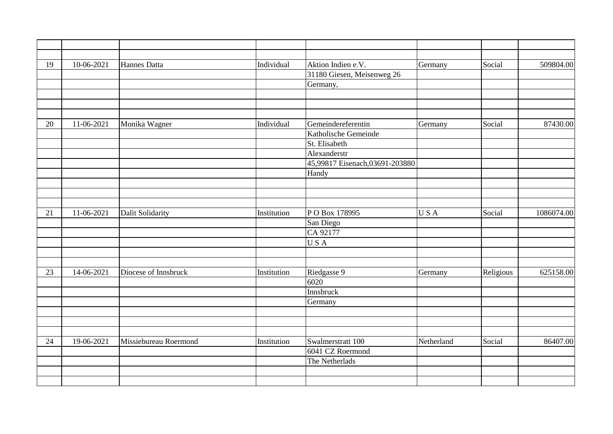| 19 | 10-06-2021 | Hannes Datta          | Individual  | Aktion Indien e.V.             | Germany    | Social    | 509804.00  |
|----|------------|-----------------------|-------------|--------------------------------|------------|-----------|------------|
|    |            |                       |             | 31180 Giesen, Meisenweg 26     |            |           |            |
|    |            |                       |             | Germany,                       |            |           |            |
|    |            |                       |             |                                |            |           |            |
|    |            |                       |             |                                |            |           |            |
|    |            |                       |             |                                |            |           |            |
| 20 | 11-06-2021 | Monika Wagner         | Individual  | Gemeindereferentin             | Germany    | Social    | 87430.00   |
|    |            |                       |             | Katholische Gemeinde           |            |           |            |
|    |            |                       |             | St. Elisabeth                  |            |           |            |
|    |            |                       |             | Alexanderstr                   |            |           |            |
|    |            |                       |             | 45,99817 Eisenach,03691-203880 |            |           |            |
|    |            |                       |             | Handy                          |            |           |            |
|    |            |                       |             |                                |            |           |            |
|    |            |                       |             |                                |            |           |            |
|    |            |                       |             |                                |            |           |            |
| 21 | 11-06-2021 | Dalit Solidarity      | Institution | PO Box 178995                  | USA        | Social    | 1086074.00 |
|    |            |                       |             | San Diego                      |            |           |            |
|    |            |                       |             | CA 92177                       |            |           |            |
|    |            |                       |             | USA                            |            |           |            |
|    |            |                       |             |                                |            |           |            |
|    |            |                       |             |                                |            |           |            |
| 23 | 14-06-2021 | Diocese of Innsbruck  | Institution | Riedgasse 9                    | Germany    | Religious | 625158.00  |
|    |            |                       |             | 6020                           |            |           |            |
|    |            |                       |             | Innsbruck                      |            |           |            |
|    |            |                       |             | Germany                        |            |           |            |
|    |            |                       |             |                                |            |           |            |
|    |            |                       |             |                                |            |           |            |
|    |            |                       |             |                                |            |           |            |
| 24 | 19-06-2021 | Missiebureau Roermond | Institution | Swalmerstratt 100              | Netherland | Social    | 86407.00   |
|    |            |                       |             | 6041 CZ Roermond               |            |           |            |
|    |            |                       |             | The Netherlads                 |            |           |            |
|    |            |                       |             |                                |            |           |            |
|    |            |                       |             |                                |            |           |            |